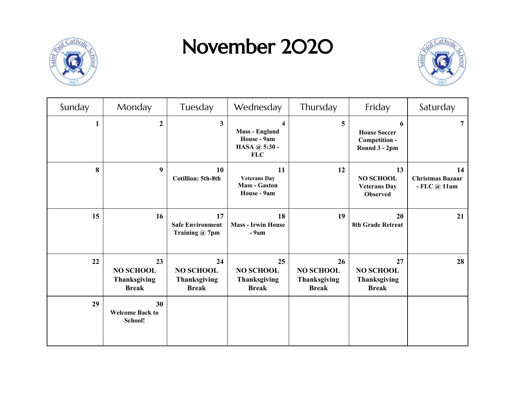

## November 2020



| Sunday | Monday                                                        | Tuesday                                                       | Wednesday                                                                                      | Thursday                                                      | Friday                                                           | Saturday                                       |
|--------|---------------------------------------------------------------|---------------------------------------------------------------|------------------------------------------------------------------------------------------------|---------------------------------------------------------------|------------------------------------------------------------------|------------------------------------------------|
| 1      | $\overline{2}$                                                | $\mathbf{3}$                                                  | $\overline{\mathbf{4}}$<br><b>Mass - England</b><br>House - 9am<br>HASA @ 5:30 -<br><b>FLC</b> | 5                                                             | 6<br><b>House Soccer</b><br>Competition -<br>Round 3 - 2pm       | $\overline{7}$                                 |
| 8      | $\boldsymbol{9}$                                              | 10<br><b>Cotillion: 5th-8th</b>                               | 11<br><b>Veterans Day</b><br><b>Mass - Gaston</b><br>House - 9am                               | 12                                                            | 13<br><b>NO SCHOOL</b><br><b>Veterans Day</b><br><b>Observed</b> | 14<br><b>Christmas Bazaar</b><br>- FLC $@11am$ |
| 15     | 16                                                            | 17<br><b>Safe Environment</b><br>Training @ 7pm               | 18<br><b>Mass - Irwin House</b><br>- 9am                                                       | 19                                                            | 20<br><b>8th Grade Retreat</b>                                   | 21                                             |
| 22     | 23<br><b>NO SCHOOL</b><br><b>Thanksgiving</b><br><b>Break</b> | 24<br><b>NO SCHOOL</b><br><b>Thanksgiving</b><br><b>Break</b> | 25<br><b>NO SCHOOL</b><br><b>Thanksgiving</b><br><b>Break</b>                                  | 26<br><b>NO SCHOOL</b><br><b>Thanksgiving</b><br><b>Break</b> | 27<br><b>NO SCHOOL</b><br><b>Thanksgiving</b><br><b>Break</b>    | 28                                             |
| 29     | 30<br><b>Welcome Back to</b><br>School!                       |                                                               |                                                                                                |                                                               |                                                                  |                                                |